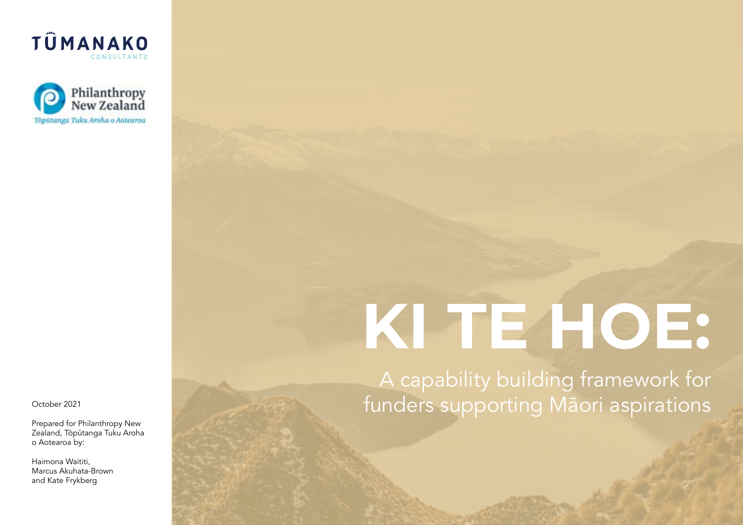



Prepared for Philanthropy New Zealand, Tōpūtanga Tuku Aroha o Aotearoa by:

Haimona Waititi, Marcus Akuhata-Brown and Kate Frykberg

# **KI TE HOE:**

A capability building framework for October 2021 **Crober 2021 Crober 2021 Crober 2021 Crober 2021**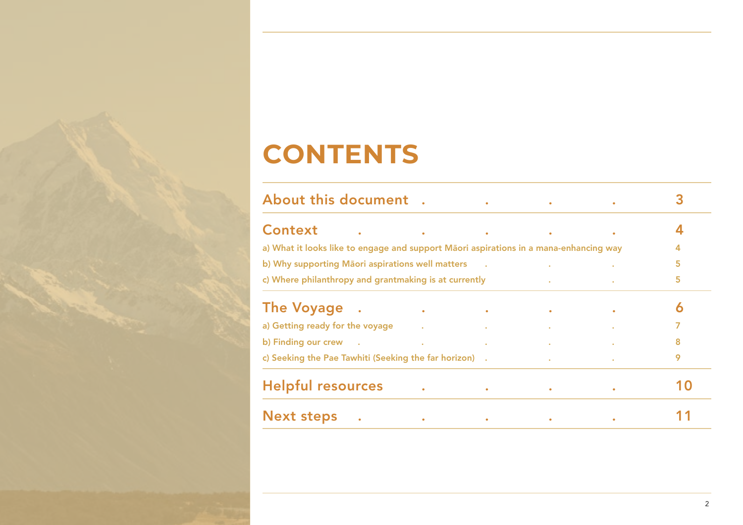### **CONTENTS**

| <b>About this document</b>                                                                                                                                                                                                     |  |                                                     |           |                                                                 |           |   |
|--------------------------------------------------------------------------------------------------------------------------------------------------------------------------------------------------------------------------------|--|-----------------------------------------------------|-----------|-----------------------------------------------------------------|-----------|---|
| <b>Context</b>                                                                                                                                                                                                                 |  | and the contract of the contract of the contract of |           | $\bullet$                                                       | $\bullet$ |   |
| a) What it looks like to engage and support Māori aspirations in a mana-enhancing way                                                                                                                                          |  |                                                     |           |                                                                 |           |   |
| b) Why supporting Maori aspirations well matters .<br>the control of the control of                                                                                                                                            |  |                                                     |           |                                                                 |           | 5 |
| c) Where philanthropy and grantmaking is at currently<br>the contract of the contract of the                                                                                                                                   |  |                                                     |           |                                                                 |           | 5 |
| <b>The Voyage</b>                                                                                                                                                                                                              |  | the control of the control of the                   |           | <b>Contract Contract Contract Contract</b>                      | $\bullet$ | 6 |
| a) Getting ready for the voyage                                                                                                                                                                                                |  |                                                     |           | the contract of the contract of the contract of the contract of |           |   |
| b) Finding our crew by the contract of the contract of the contract of the contract of the contract of the contract of the contract of the contract of the contract of the contract of the contract of the contract of the con |  |                                                     |           |                                                                 |           | 8 |
| c) Seeking the Pae Tawhiti (Seeking the far horizon) .                                                                                                                                                                         |  |                                                     |           |                                                                 |           | 9 |
| <b>Helpful resources</b>                                                                                                                                                                                                       |  | $\bullet$                                           | $\bullet$ |                                                                 | $\bullet$ |   |
| <b>Next steps</b>                                                                                                                                                                                                              |  | $\bullet$                                           | $\bullet$ |                                                                 |           |   |
|                                                                                                                                                                                                                                |  |                                                     |           |                                                                 |           |   |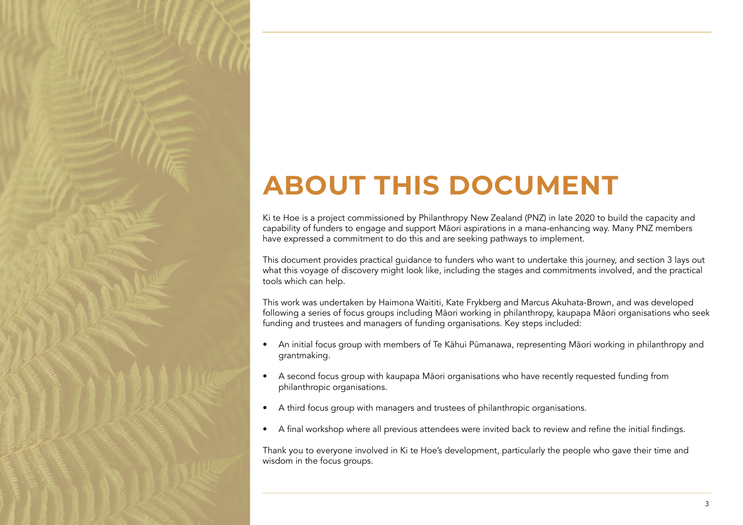## **ABOUT THIS DOCUMENT**

Ki te Hoe is a project commissioned by Philanthropy New Zealand (PNZ) in late 2020 to build the capacity and capability of funders to engage and support Māori aspirations in a mana-enhancing way. Many PNZ members have expressed a commitment to do this and are seeking pathways to implement.

This document provides practical guidance to funders who want to undertake this journey, and section 3 lays out what this voyage of discovery might look like, including the stages and commitments involved, and the practical tools which can help.

This work was undertaken by Haimona Waititi, Kate Frykberg and Marcus Akuhata-Brown, and was developed following a series of focus groups including Māori working in philanthropy, kaupapa Māori organisations who seek funding and trustees and managers of funding organisations. Key steps included:

- An initial focus group with members of Te Kāhui Pūmanawa, representing Māori working in philanthropy and grantmaking.
- A second focus group with kaupapa Māori organisations who have recently requested funding from philanthropic organisations.
- A third focus group with managers and trustees of philanthropic organisations.
- A final workshop where all previous attendees were invited back to review and refine the initial findings.

Thank you to everyone involved in Ki te Hoe's development, particularly the people who gave their time and wisdom in the focus groups.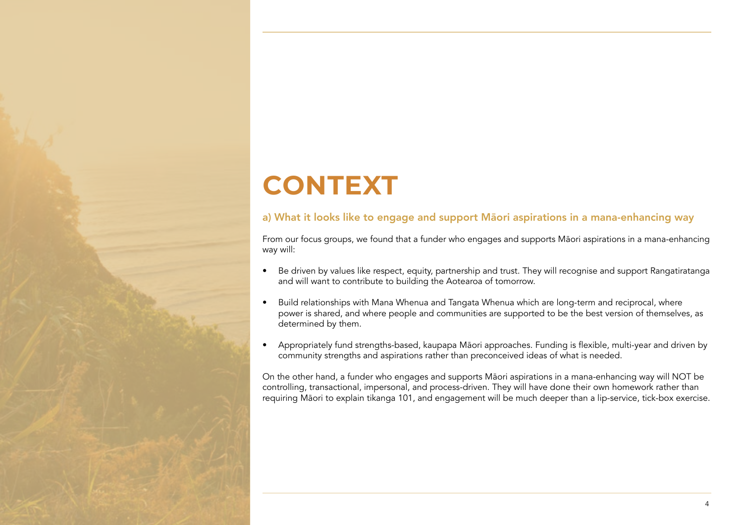# **CONTEXT**

### a) What it looks like to engage and support Māori aspirations in a mana-enhancing way

From our focus groups, we found that a funder who engages and supports Māori aspirations in a mana-enhancing way will:

- Be driven by values like respect, equity, partnership and trust. They will recognise and support Rangatiratanga and will want to contribute to building the Aotearoa of tomorrow.
- Build relationships with Mana Whenua and Tangata Whenua which are long-term and reciprocal, where power is shared, and where people and communities are supported to be the best version of themselves, as determined by them.
- Appropriately fund strengths-based, kaupapa Māori approaches. Funding is flexible, multi-year and driven by community strengths and aspirations rather than preconceived ideas of what is needed.

On the other hand, a funder who engages and supports Māori aspirations in a mana-enhancing way will NOT be controlling, transactional, impersonal, and process-driven. They will have done their own homework rather than requiring Māori to explain tikanga 101, and engagement will be much deeper than a lip-service, tick-box exercise.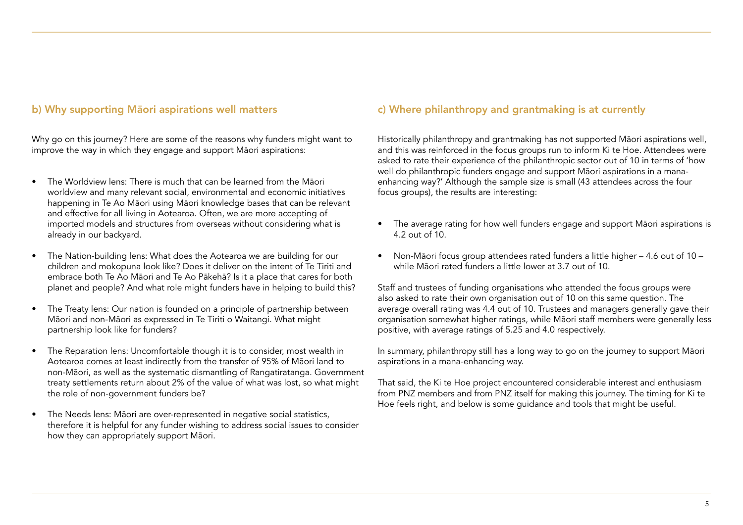#### b) Why supporting Māori aspirations well matters

Why go on this journey? Here are some of the reasons why funders might want to improve the way in which they engage and support Māori aspirations:

- The Worldview lens: There is much that can be learned from the Māori worldview and many relevant social, environmental and economic initiatives happening in Te Ao Māori using Māori knowledge bases that can be relevant and effective for all living in Aotearoa. Often, we are more accepting of imported models and structures from overseas without considering what is already in our backyard.
- The Nation-building lens: What does the Aotearoa we are building for our children and mokopuna look like? Does it deliver on the intent of Te Tiriti and embrace both Te Ao Māori and Te Ao Pākehā? Is it a place that cares for both planet and people? And what role might funders have in helping to build this?
- The Treaty lens: Our nation is founded on a principle of partnership between Māori and non-Māori as expressed in Te Tiriti o Waitangi. What might partnership look like for funders?
- The Reparation lens: Uncomfortable though it is to consider, most wealth in Aotearoa comes at least indirectly from the transfer of 95% of Māori land to non-Māori, as well as the systematic dismantling of Rangatiratanga. Government treaty settlements return about 2% of the value of what was lost, so what might the role of non-government funders be?
- The Needs lens: Māori are over-represented in negative social statistics, therefore it is helpful for any funder wishing to address social issues to consider how they can appropriately support Māori.

#### c) Where philanthropy and grantmaking is at currently

Historically philanthropy and grantmaking has not supported Māori aspirations well, and this was reinforced in the focus groups run to inform Ki te Hoe. Attendees were asked to rate their experience of the philanthropic sector out of 10 in terms of 'how well do philanthropic funders engage and support Māori aspirations in a manaenhancing way?' Although the sample size is small (43 attendees across the four focus groups), the results are interesting:

- The average rating for how well funders engage and support Māori aspirations is 4.2 out of 10.
- Non-Māori focus group attendees rated funders a little higher 4.6 out of 10 while Māori rated funders a little lower at 3.7 out of 10.

Staff and trustees of funding organisations who attended the focus groups were also asked to rate their own organisation out of 10 on this same question. The average overall rating was 4.4 out of 10. Trustees and managers generally gave their organisation somewhat higher ratings, while Māori staff members were generally less positive, with average ratings of 5.25 and 4.0 respectively.

In summary, philanthropy still has a long way to go on the journey to support Māori aspirations in a mana-enhancing way.

That said, the Ki te Hoe project encountered considerable interest and enthusiasm from PNZ members and from PNZ itself for making this journey. The timing for Ki te Hoe feels right, and below is some guidance and tools that might be useful.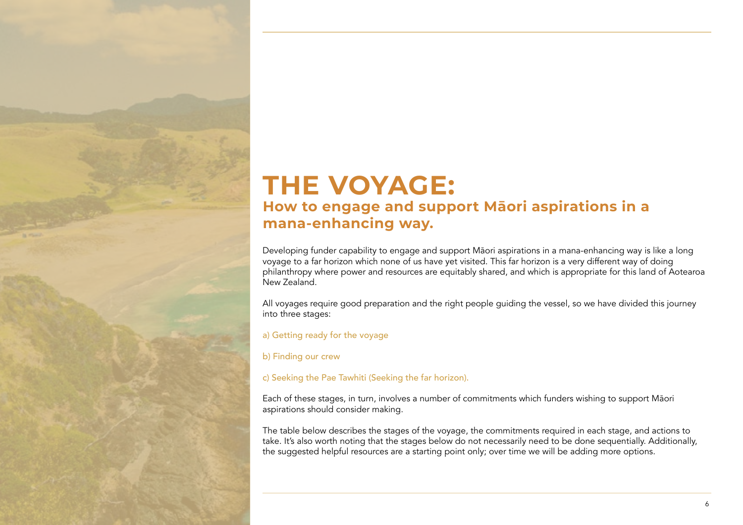### **THE VOYAGE: How to engage and support Māori aspirations in a mana-enhancing way.**

Developing funder capability to engage and support Māori aspirations in a mana-enhancing way is like a long voyage to a far horizon which none of us have yet visited. This far horizon is a very different way of doing philanthropy where power and resources are equitably shared, and which is appropriate for this land of Aotearoa New Zealand.

All voyages require good preparation and the right people guiding the vessel, so we have divided this journey into three stages:

a) Getting ready for the voyage

b) Finding our crew

c) Seeking the Pae Tawhiti (Seeking the far horizon).

Each of these stages, in turn, involves a number of commitments which funders wishing to support Māori aspirations should consider making.

The table below describes the stages of the voyage, the commitments required in each stage, and actions to take. It's also worth noting that the stages below do not necessarily need to be done sequentially. Additionally, the suggested helpful resources are a starting point only; over time we will be adding more options.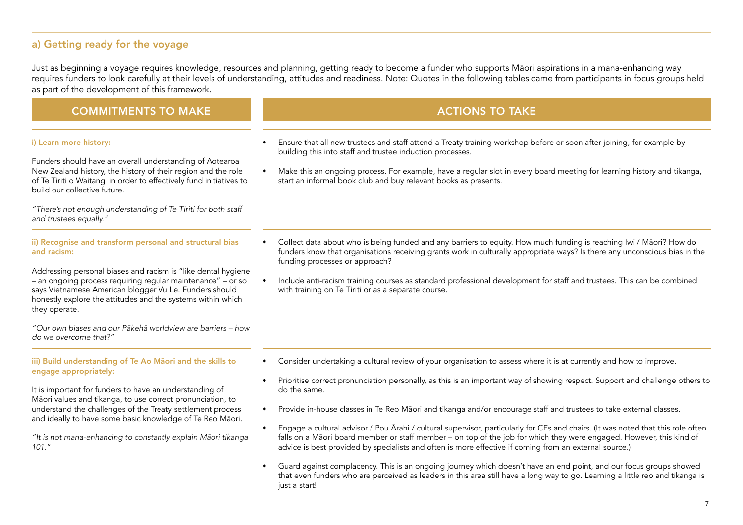#### a) Getting ready for the voyage

Just as beginning a voyage requires knowledge, resources and planning, getting ready to become a funder who supports Māori aspirations in a mana-enhancing way requires funders to look carefully at their levels of understanding, attitudes and readiness. Note: Quotes in the following tables came from participants in focus groups held as part of the development of this framework.

#### COMMITMENTS TO MAKE ACTIONS TO TAKE ACTIONS TO TAKE

#### i) Learn more history:

Funders should have an overall understanding of Aotearoa New Zealand history, the history of their region and the role of Te Tiriti o Waitangi in order to effectively fund initiatives to build our collective future.

"There's not enough understanding of Te Tiriti for both staff and trustees equally."

ii) Recognise and transform personal and structural bias and racism:

Addressing personal biases and racism is "like dental hygiene – an ongoing process requiring regular maintenance" – or so says Vietnamese American blogger Vu Le. Funders should honestly explore the attitudes and the systems within which they operate.

"Our own biases and our Pākehā worldview are barriers – how do we overcome that?"

#### iii) Build understanding of Te Ao Māori and the skills to engage appropriately:

It is important for funders to have an understanding of Māori values and tikanga, to use correct pronunciation, to understand the challenges of the Treaty settlement process and ideally to have some basic knowledge of Te Reo Māori.

"It is not mana-enhancing to constantly explain Māori tikanga 101."

- 
- Ensure that all new trustees and staff attend a Treaty training workshop before or soon after joining, for example by building this into staff and trustee induction processes.
- Make this an ongoing process. For example, have a regular slot in every board meeting for learning history and tikanga, start an informal book club and buy relevant books as presents.

- Collect data about who is being funded and any barriers to equity. How much funding is reaching Iwi / Māori? How do funders know that organisations receiving grants work in culturally appropriate ways? Is there any unconscious bias in the funding processes or approach?
- Include anti-racism training courses as standard professional development for staff and trustees. This can be combined with training on Te Tiriti or as a separate course.

- Consider undertaking a cultural review of your organisation to assess where it is at currently and how to improve.
- Prioritise correct pronunciation personally, as this is an important way of showing respect. Support and challenge others to do the same.
- Provide in-house classes in Te Reo Māori and tikanga and/or encourage staff and trustees to take external classes.
- Engage a cultural advisor / Pou Ārahi / cultural supervisor, particularly for CEs and chairs. (It was noted that this role often falls on a Māori board member or staff member – on top of the job for which they were engaged. However, this kind of advice is best provided by specialists and often is more effective if coming from an external source.)
- Guard against complacency. This is an ongoing journey which doesn't have an end point, and our focus groups showed that even funders who are perceived as leaders in this area still have a long way to go. Learning a little reo and tikanga is just a start!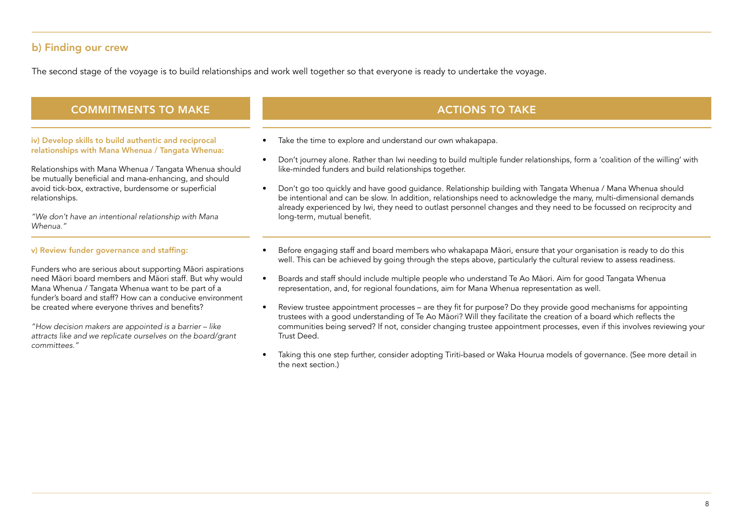#### b) Finding our crew

The second stage of the voyage is to build relationships and work well together so that everyone is ready to undertake the voyage.

#### COMMITMENTS TO MAKE ACTIONS TO TAKE ACTIONS TO TAKE

iv) Develop skills to build authentic and reciprocal relationships with Mana Whenua / Tangata Whenua:

Relationships with Mana Whenua / Tangata Whenua should be mutually beneficial and mana-enhancing, and should avoid tick-box, extractive, burdensome or superficial relationships.

"We don't have an intentional relationship with Mana Whenua."

#### v) Review funder governance and staffing:

Funders who are serious about supporting Māori aspirations need Māori board members and Māori staff. But why would Mana Whenua / Tangata Whenua want to be part of a funder's board and staff? How can a conducive environment be created where everyone thrives and benefits?

"How decision makers are appointed is a barrier – like attracts like and we replicate ourselves on the board/grant committees."

- Take the time to explore and understand our own whakapapa.
- Don't journey alone. Rather than Iwi needing to build multiple funder relationships, form a 'coalition of the willing' with like-minded funders and build relationships together.
- Don't go too quickly and have good guidance. Relationship building with Tangata Whenua / Mana Whenua should be intentional and can be slow. In addition, relationships need to acknowledge the many, multi-dimensional demands already experienced by Iwi, they need to outlast personnel changes and they need to be focussed on reciprocity and long-term, mutual benefit.
- Before engaging staff and board members who whakapapa Māori, ensure that your organisation is ready to do this well. This can be achieved by going through the steps above, particularly the cultural review to assess readiness.
- Boards and staff should include multiple people who understand Te Ao Māori. Aim for good Tangata Whenua representation, and, for regional foundations, aim for Mana Whenua representation as well.
- Review trustee appointment processes are they fit for purpose? Do they provide good mechanisms for appointing trustees with a good understanding of Te Ao Māori? Will they facilitate the creation of a board which reflects the communities being served? If not, consider changing trustee appointment processes, even if this involves reviewing your Trust Deed.
- Taking this one step further, consider adopting Tiriti-based or Waka Hourua models of governance. (See more detail in the next section.)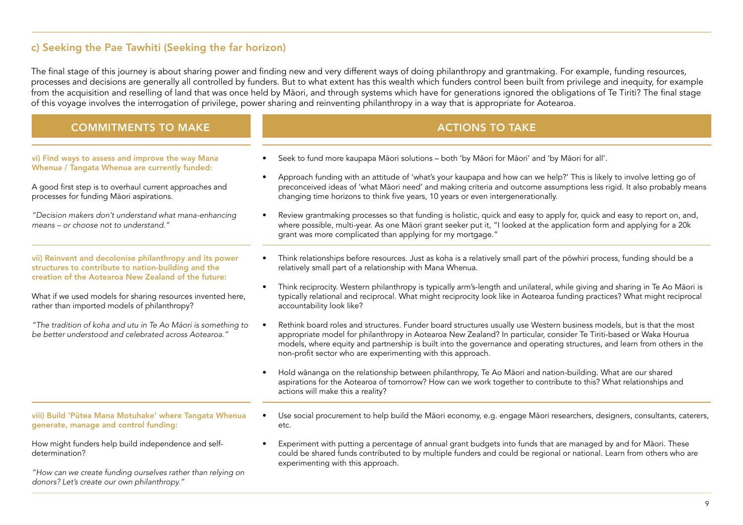#### c) Seeking the Pae Tawhiti (Seeking the far horizon)

The final stage of this journey is about sharing power and finding new and very different ways of doing philanthropy and grantmaking. For example, funding resources, processes and decisions are generally all controlled by funders. But to what extent has this wealth which funders control been built from privilege and inequity, for example from the acquisition and reselling of land that was once held by Māori, and through systems which have for generations ignored the obligations of Te Tiriti? The final stage of this voyage involves the interrogation of privilege, power sharing and reinventing philanthropy in a way that is appropriate for Aotearoa.

#### COMMITMENTS TO MAKE ACTIONS TO TAKE ACTIONS TO TAKE

vi) Find ways to assess and improve the way Mana Whenua / Tangata Whenua are currently funded:

A good first step is to overhaul current approaches and processes for funding Māori aspirations.

"Decision makers don't understand what mana-enhancing means – or choose not to understand."

vii) Reinvent and decolonise philanthropy and its power structures to contribute to nation-building and the creation of the Aotearoa New Zealand of the future:

What if we used models for sharing resources invented here. rather than imported models of philanthropy?

"The tradition of koha and utu in Te Ao Māori is something to be better understood and celebrated across Aotearoa."

#### viii) Build 'Pūtea Mana Motuhake' where Tangata Whenua generate, manage and control funding:

How might funders help build independence and selfdetermination?

"How can we create funding ourselves rather than relying on donors? Let's create our own philanthropy."

- Seek to fund more kaupapa Māori solutions both 'by Māori for Māori' and 'by Māori for all'.
- Approach funding with an attitude of 'what's your kaupapa and how can we help?' This is likely to involve letting go of preconceived ideas of 'what Māori need' and making criteria and outcome assumptions less rigid. It also probably means changing time horizons to think five years, 10 years or even intergenerationally.
- Review grantmaking processes so that funding is holistic, quick and easy to apply for, quick and easy to report on, and, where possible, multi-year. As one Māori grant seeker put it, "I looked at the application form and applying for a 20k grant was more complicated than applying for my mortgage."
- Think relationships before resources. Just as koha is a relatively small part of the pōwhiri process, funding should be a relatively small part of a relationship with Mana Whenua.
- Think reciprocity. Western philanthropy is typically arm's-length and unilateral, while giving and sharing in Te Ao Māori is typically relational and reciprocal. What might reciprocity look like in Aotearoa funding practices? What might reciprocal accountability look like?
- Rethink board roles and structures. Funder board structures usually use Western business models, but is that the most appropriate model for philanthropy in Aotearoa New Zealand? In particular, consider Te Tiriti-based or Waka Hourua models, where equity and partnership is built into the governance and operating structures, and learn from others in the non-profit sector who are experimenting with this approach.
- Hold wānanga on the relationship between philanthropy, Te Ao Māori and nation-building. What are our shared aspirations for the Aotearoa of tomorrow? How can we work together to contribute to this? What relationships and actions will make this a reality?
- Use social procurement to help build the Māori economy, e.g. engage Māori researchers, designers, consultants, caterers, etc.
- Experiment with putting a percentage of annual grant budgets into funds that are managed by and for Māori. These could be shared funds contributed to by multiple funders and could be regional or national. Learn from others who are experimenting with this approach.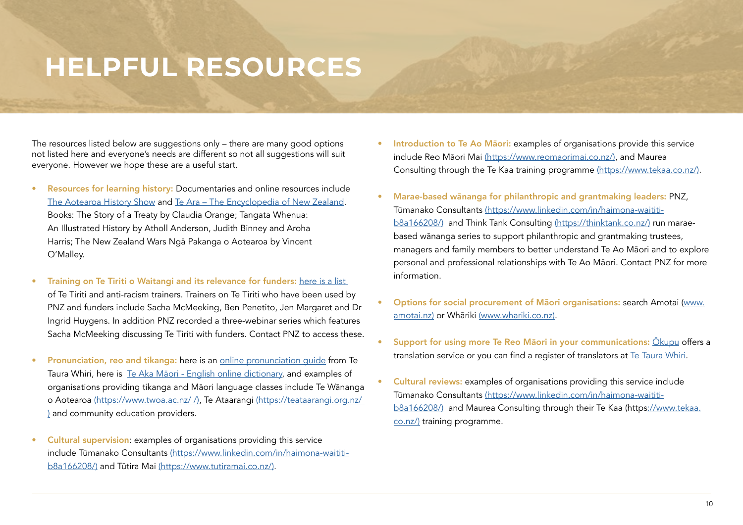### **HELPFUL RESOURCES**

The resources listed below are suggestions only – there are many good options not listed here and everyone's needs are different so not all suggestions will suit everyone. However we hope these are a useful start.

- Resources for learning history: Documentaries and online resources include [The Aotearoa History Show](https://www.rnz.co.nz/programmes/the-aotearoa-history-show) and [Te Ara – The Encyclopedia of New Zealand.](https://teara.govt.nz/en) Books: The Story of a Treaty by Claudia Orange; Tangata Whenua: An Illustrated History by Atholl Anderson, Judith Binney and Aroha Harris; The New Zealand Wars Ngā Pakanga o Aotearoa by Vincent O'Malley.
- Training on Te Tiriti o Waitangi and its relevance for funders: here is a list of Te Tiriti and anti-racism trainers. Trainers on Te Tiriti who have been used by PNZ and funders include Sacha McMeeking, Ben Penetito, Jen Margaret and Dr Ingrid Huygens. In addition PNZ recorded a three-webinar series which features Sacha McMeeking discussing Te Tiriti with funders. Contact PNZ to access these.
- Pronunciation, reo and tikanga: here is an [online pronunciation guide](https://www.tetaurawhiri.govt.nz/en/learn/pronunciation/) from Te Taura Whiri, here is [Te Aka Māori - English online dictionary](https://maoridictionary.co.nz), and examples of organisations providing tikanga and Māori language classes include Te Wānanga o Aotearoa [\(https://www.twoa.ac.nz/ /\)](https://www.twoa.ac.nz), Te Ataarangi [\(https://teataarangi.org.nz/](https://teataarangi.org.nz)  [\)](https://teataarangi.org.nz) and community education providers.
- Cultural supervision: examples of organisations providing this service include Tūmanako Consultants [\(https://www.linkedin.com/in/haimona-waititi](https://www.linkedin.com/in/haimona-waititi-b8a166208/)[b8a166208/\)](https://www.linkedin.com/in/haimona-waititi-b8a166208/) and Tūtira Mai [\(https://www.tutiramai.co.nz/\)](https://www.tutiramai.co.nz).
- Introduction to Te Ao Maori: examples of organisations provide this service include Reo Māori Mai [\(https://www.reomaorimai.co.nz/\)](https://www.reomaorimai.co.nz), and Maurea Consulting through the Te Kaa training programme [\(https://www.tekaa.co.nz/\)](https://www.tekaa.co.nz).
- Marae-based wānanga for philanthropic and grantmaking leaders: PNZ, Tūmanako Consultants [\(https://www.linkedin.com/in/haimona-waititi](https://www.linkedin.com/in/haimona-waititi-b8a166208/)[b8a166208/\)](https://www.linkedin.com/in/haimona-waititi-b8a166208/) and Think Tank Consulting [\(https://thinktank.co.nz/\)](https://thinktank.co.nz) run maraebased wānanga series to support philanthropic and grantmaking trustees, managers and family members to better understand Te Ao Māori and to explore personal and professional relationships with Te Ao Māori. Contact PNZ for more information.
- Options for social procurement of Māori organisations: search Amotai ([www.](https://amotai.nz) [amotai.nz\)](https://amotai.nz) or Whāriki [\(www.whariki.co.nz\).](https://www.whariki.co.nz)
- Support for using more Te Reo Māori in your communications: Okupu offers a translation service or you can find a register of translators at [Te Taura Whiri](https://tetaurawhiri.govt.nz/en/services/national-translators-and-interpreters-register/).
- Cultural reviews: examples of organisations providing this service include Tūmanako Consultants [\(https://www.linkedin.com/in/haimona-waititi](https://www.linkedin.com/in/haimona-waititi-b8a166208/)[b8a166208/\)](https://www.linkedin.com/in/haimona-waititi-b8a166208/) and Maurea Consulting through their Te Kaa (https[://www.tekaa.](https://www.tekaa.co.nz) [co.nz/\)](https://www.tekaa.co.nz) training programme.